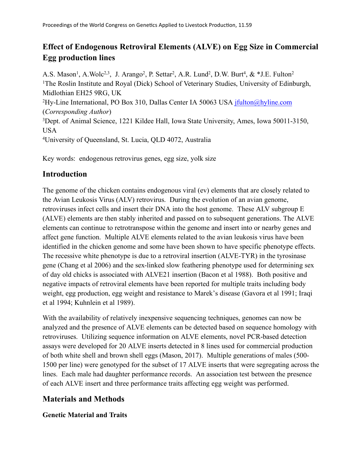# **Effect of Endogenous Retroviral Elements (ALVE) on Egg Size in Commercial Egg production lines**

A.S. Mason<sup>1</sup>, A.Wolc<sup>2,3</sup>, J. Arango<sup>2</sup>, P. Settar<sup>2</sup>, A.R. Lund<sup>2</sup>, D.W. Burt<sup>4</sup>, & \*J.E. Fulton<sup>2</sup> <sup>1</sup>The Roslin Institute and Royal (Dick) School of Veterinary Studies, University of Edinburgh, Midlothian EH25 9RG, UK <sup>2</sup>Hy-Line International, PO Box 310, Dallas Center IA 50063 USA [jfulton@hyline.com](mailto:jfulton@hyline.com) (*Corresponding Author*) <sup>3</sup>Dept. of Animal Science, 1221 Kildee Hall, Iowa State University, Ames, Iowa 50011-3150, USA <sup>4</sup>University of Queensland, St. Lucia, QLD 4072, Australia

Key words: endogenous retrovirus genes, egg size, yolk size

## **Introduction**

The genome of the chicken contains endogenous viral (ev) elements that are closely related to the Avian Leukosis Virus (ALV) retrovirus. During the evolution of an avian genome, retroviruses infect cells and insert their DNA into the host genome. These ALV subgroup E (ALVE) elements are then stably inherited and passed on to subsequent generations. The ALVE elements can continue to retrotranspose within the genome and insert into or nearby genes and affect gene function. Multiple ALVE elements related to the avian leukosis virus have been identified in the chicken genome and some have been shown to have specific phenotype effects. The recessive white phenotype is due to a retroviral insertion (ALVE-TYR) in the tyrosinase gene (Chang et al 2006) and the sex-linked slow feathering phenotype used for determining sex of day old chicks is associated with ALVE21 insertion (Bacon et al 1988). Both positive and negative impacts of retroviral elements have been reported for multiple traits including body weight, egg production, egg weight and resistance to Marek's disease (Gavora et al 1991; Iraqi et al 1994; Kuhnlein et al 1989).

With the availability of relatively inexpensive sequencing techniques, genomes can now be analyzed and the presence of ALVE elements can be detected based on sequence homology with retroviruses. Utilizing sequence information on ALVE elements, novel PCR-based detection assays were developed for 20 ALVE inserts detected in 8 lines used for commercial production of both white shell and brown shell eggs (Mason, 2017). Multiple generations of males (500- 1500 per line) were genotyped for the subset of 17 ALVE inserts that were segregating across the lines. Each male had daughter performance records. An association test between the presence of each ALVE insert and three performance traits affecting egg weight was performed.

## **Materials and Methods**

**Genetic Material and Traits**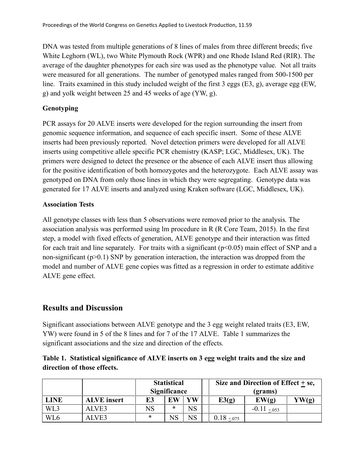DNA was tested from multiple generations of 8 lines of males from three different breeds; five White Leghorn (WL), two White Plymouth Rock (WPR) and one Rhode Island Red (RIR). The average of the daughter phenotypes for each sire was used as the phenotype value. Not all traits were measured for all generations. The number of genotyped males ranged from 500-1500 per line. Traits examined in this study included weight of the first 3 eggs (E3, g), average egg (EW, g) and yolk weight between 25 and 45 weeks of age (YW, g).

#### **Genotyping**

PCR assays for 20 ALVE inserts were developed for the region surrounding the insert from genomic sequence information, and sequence of each specific insert. Some of these ALVE inserts had been previously reported. Novel detection primers were developed for all ALVE inserts using competitive allele specific PCR chemistry (KASP; LGC, Middlesex, UK). The primers were designed to detect the presence or the absence of each ALVE insert thus allowing for the positive identification of both homozygotes and the heterozygote. Each ALVE assay was genotyped on DNA from only those lines in which they were segregating. Genotype data was generated for 17 ALVE inserts and analyzed using Kraken software (LGC, Middlesex, UK).

#### **Association Tests**

All genotype classes with less than 5 observations were removed prior to the analysis. The association analysis was performed using lm procedure in R (R Core Team, 2015). In the first step, a model with fixed effects of generation, ALVE genotype and their interaction was fitted for each trait and line separately. For traits with a significant  $(p<0.05)$  main effect of SNP and a non-significant  $(p>0.1)$  SNP by generation interaction, the interaction was dropped from the model and number of ALVE gene copies was fitted as a regression in order to estimate additive ALVE gene effect.

### **Results and Discussion**

Significant associations between ALVE genotype and the 3 egg weight related traits (E3, EW, YW) were found in 5 of the 8 lines and for 7 of the 17 ALVE. Table 1 summarizes the significant associations and the size and direction of the effects.

#### **Table 1. Statistical significance of ALVE inserts on 3 egg weight traits and the size and direction of those effects.**

|                 |                    | <b>Statistical</b><br>Significance |        |             | Size and Direction of Effect $+$ se,<br>(grams) |                 |       |  |
|-----------------|--------------------|------------------------------------|--------|-------------|-------------------------------------------------|-----------------|-------|--|
| <b>LINE</b>     | <b>ALVE</b> insert | E3                                 | EW     | YW          | E3(g)                                           | EW(g)           | YW(g) |  |
| WL3             | ALVE3              | NS                                 | $\ast$ | $_{\rm NS}$ |                                                 | $-0.11 + 0.053$ |       |  |
| WL <sub>6</sub> | ALVE3              | ∗                                  |        | NS          | $0.18 + 0.075$                                  |                 |       |  |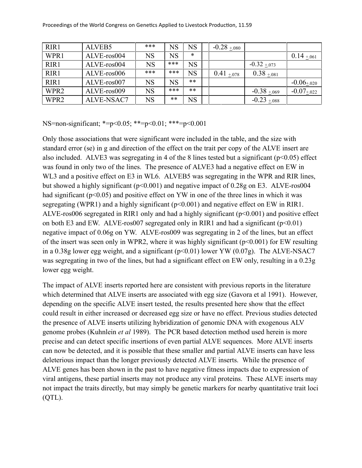| RIR1             | ALVEB5      | ***       | <b>NS</b> | <b>NS</b> | $-0.28 + .080$ |                 |                 |
|------------------|-------------|-----------|-----------|-----------|----------------|-----------------|-----------------|
| WPR1             | ALVE-ros004 | <b>NS</b> | <b>NS</b> | $\ast$    |                |                 | $0.14 \pm .061$ |
| RIR1             | ALVE-ros004 | <b>NS</b> | ***       | <b>NS</b> |                | $-0.32 + 0.073$ |                 |
| RIR1             | ALVE-ros006 | ***       | ***       | <b>NS</b> | $0.41 + 0.078$ | $0.38 + 0.081$  |                 |
| RIR1             | ALVE-ros007 | <b>NS</b> | <b>NS</b> | $***$     |                |                 | $-0.06_{+.020}$ |
| WPR <sub>2</sub> | ALVE-ros009 | <b>NS</b> | ***       | $***$     |                | $-0.38 + 0.069$ | $-0.07$ +.022   |
| WPR <sub>2</sub> | ALVE-NSAC7  | <b>NS</b> | $***$     | <b>NS</b> |                | $-0.23 + 0.088$ |                 |

NS=non-significant; \*=p<0.05; \*\*=p<0.01; \*\*\*=p<0.001

Only those associations that were significant were included in the table, and the size with standard error (se) in g and direction of the effect on the trait per copy of the ALVE insert are also included. ALVE3 was segregating in 4 of the 8 lines tested but a significant (p<0.05) effect was found in only two of the lines. The presence of ALVE3 had a negative effect on EW in WL3 and a positive effect on E3 in WL6. ALVEB5 was segregating in the WPR and RIR lines, but showed a highly significant ( $p<0.001$ ) and negative impact of 0.28g on E3. ALVE-ros004 had significant ( $p<0.05$ ) and positive effect on YW in one of the three lines in which it was segregating (WPR1) and a highly significant (p<0.001) and negative effect on EW in RIR1. ALVE-ros006 segregated in RIR1 only and had a highly significant (p<0.001) and positive effect on both E3 and EW. ALVE-ros007 segregated only in RIR1 and had a significant  $(p<0.01)$ negative impact of 0.06g on YW. ALVE-ros009 was segregating in 2 of the lines, but an effect of the insert was seen only in WPR2, where it was highly significant ( $p<0.001$ ) for EW resulting in a 0.38g lower egg weight, and a significant  $(p<0.01)$  lower YW  $(0.07g)$ . The ALVE-NSAC7 was segregating in two of the lines, but had a significant effect on EW only, resulting in a 0.23g lower egg weight.

The impact of ALVE inserts reported here are consistent with previous reports in the literature which determined that ALVE inserts are associated with egg size (Gavora et al 1991). However, depending on the specific ALVE insert tested, the results presented here show that the effect could result in either increased or decreased egg size or have no effect. Previous studies detected the presence of ALVE inserts utilizing hybridization of genomic DNA with exogenous ALV genome probes (Kuhnlein *et al* 1989). The PCR based detection method used herein is more precise and can detect specific insertions of even partial ALVE sequences. More ALVE inserts can now be detected, and it is possible that these smaller and partial ALVE inserts can have less deleterious impact than the longer previously detected ALVE inserts. While the presence of ALVE genes has been shown in the past to have negative fitness impacts due to expression of viral antigens, these partial inserts may not produce any viral proteins. These ALVE inserts may not impact the traits directly, but may simply be genetic markers for nearby quantitative trait loci (QTL).